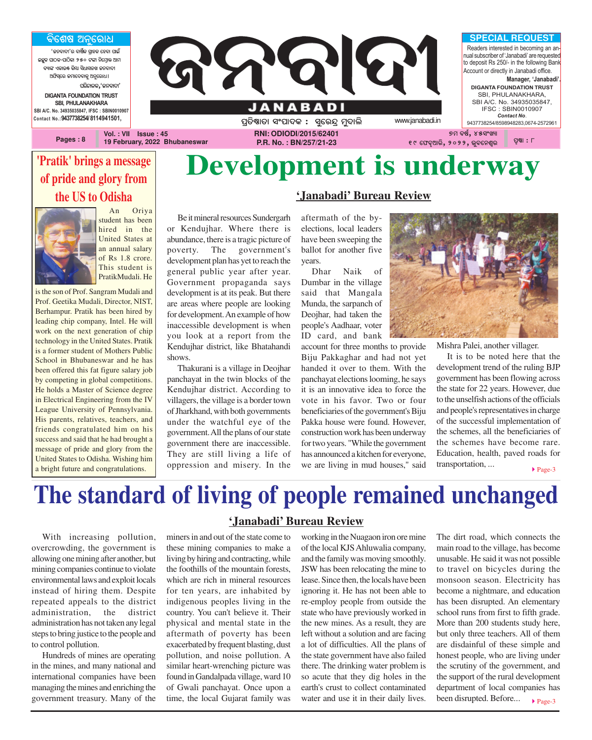### <u>ବିଶେଷ ଅନୁରୋଧ</u>

**'ଜନବାଦୀ'ର ବାର୍ଷିକ ଗ୍ରାହକ ହେବା ପାଇଁ AzêK \_ûVK-\_ûVòKû 250 Uuû ^òùcÜûq @ûc** ,<br>Guil Yanga, <u>Gai divilada Gagia</u>n **@`òi¨ùe Rcûù\aûKê @^êùeû]ö** ପରିଚାଳକ**,**'ଜନବାଦୀ' **DIGANTA FOUNDATION TRUST SBI, PHULANAKHARA SBI A/C. No. 34935035847, IFSC : SBIN0010907 Contact No.:9437738254/ 8114941501,**

**Pages : 8**



**19 February, 2022 Bhubaneswar**

**P.R. No. : BN/257/21-23**

years.

## **Development is underway**

**'Janabadi' Bureau Review**

### **'Pratik' brings a message of pride and glory from the US to Odisha**



An Oriya student has been hired in the United States at an annual salary of Rs 1.8 crore. This student is PratikMudali. He

is the son of Prof. Sangram Mudali and Prof. Geetika Mudali, Director, NIST, Berhampur. Pratik has been hired by leading chip company, Intel. He will work on the next generation of chip technology in the United States. Pratik is a former student of Mothers Public School in Bhubaneswar and he has been offered this fat figure salary job by competing in global competitions. He holds a Master of Science degree in Electrical Engineering from the IV League University of Pennsylvania. His parents, relatives, teachers, and friends congratulated him on his success and said that he had brought a message of pride and glory from the United States to Odisha. Wishing him a bright future and congratulations.

Be it mineral resources Sundergarh or Kendujhar. Where there is abundance, there is a tragic picture of poverty. The government's development plan has yet to reach the general public year after year. Government propaganda says development is at its peak. But there are areas where people are looking for development. An example of how inaccessible development is when you look at a report from the Kendujhar district, like Bhatahandi shows.

Thakurani is a village in Deojhar panchayat in the twin blocks of the Kendujhar district. According to villagers, the village is a border town of Jharkhand, with both governments under the watchful eye of the government. All the plans of our state government there are inaccessible. They are still living a life of oppression and misery. In the

### aftermath of the byelections, local leaders have been sweeping the ballot for another five

Dhar Naik of Dumbar in the village said that Mangala Munda, the sarpanch of Deojhar, had taken the people's Aadhaar, voter ID card, and bank

account for three months to provide Biju Pakkaghar and had not yet handed it over to them. With the panchayat elections looming, he says it is an innovative idea to force the vote in his favor. Two or four beneficiaries of the government's Biju Pakka house were found. However, construction work has been underway for two years. "While the government has announced a kitchen for everyone, we are living in mud houses," said



Mishra Palei, another villager.

It is to be noted here that the development trend of the ruling BJP government has been flowing across the state for 22 years. However, due to the unselfish actions of the officials and people's representatives in charge of the successful implementation of the schemes, all the beneficiaries of the schemes have become rare. Education, health, paved roads for transportation, ...

 $\blacktriangleright$  Page-3

## **The standard of living of people remained unchanged**

With increasing pollution, overcrowding, the government is allowing one mining after another, but mining companies continue to violate environmental laws and exploit locals instead of hiring them. Despite repeated appeals to the district administration, the district administration has not taken any legal steps to bring justice to the people and to control pollution.

Hundreds of mines are operating in the mines, and many national and international companies have been managing the mines and enriching the government treasury. Many of the

### **'Janabadi' Bureau Review**

miners in and out of the state come to these mining companies to make a living by hiring and contracting, while the foothills of the mountain forests, which are rich in mineral resources for ten years, are inhabited by indigenous peoples living in the country. You can't believe it. Their physical and mental state in the aftermath of poverty has been exacerbated by frequent blasting, dust pollution, and noise pollution. A similar heart-wrenching picture was found in Gandalpada village, ward 10 of Gwali panchayat. Once upon a time, the local Gujarat family was

working in the Nuagaon iron ore mine of the local KJS Ahluwalia company, and the family was moving smoothly. JSW has been relocating the mine to lease. Since then, the locals have been ignoring it. He has not been able to re-employ people from outside the state who have previously worked in the new mines. As a result, they are left without a solution and are facing a lot of difficulties. All the plans of the state government have also failed there. The drinking water problem is so acute that they dig holes in the earth's crust to collect contaminated water and use it in their daily lives. The dirt road, which connects the main road to the village, has become unusable. He said it was not possible to travel on bicycles during the monsoon season. Electricity has become a nightmare, and education has been disrupted. An elementary school runs from first to fifth grade. More than 200 students study here, but only three teachers. All of them are disdainful of these simple and honest people, who are living under the scrutiny of the government, and the support of the rural development department of local companies has been disrupted. Before...  $\blacktriangleright$  Page-3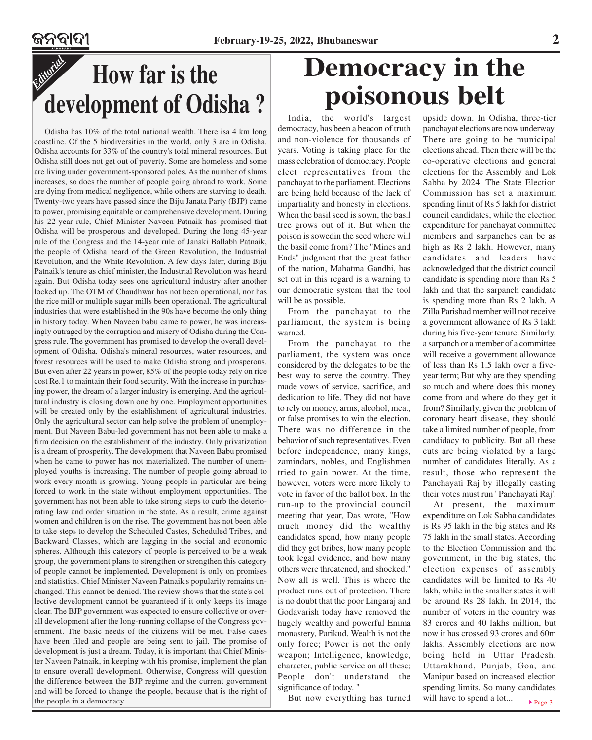### *Editorial* **How far is the development of Odisha ?**

Odisha has 10% of the total national wealth. There isa 4 km long coastline. Of the 5 biodiversities in the world, only 3 are in Odisha. Odisha accounts for 33% of the country's total mineral resources. But Odisha still does not get out of poverty. Some are homeless and some are living under government-sponsored poles. As the number of slums increases, so does the number of people going abroad to work. Some are dying from medical negligence, while others are starving to death. Twenty-two years have passed since the Biju Janata Party (BJP) came to power, promising equitable or comprehensive development. During his 22-year rule, Chief Minister Naveen Patnaik has promised that Odisha will be prosperous and developed. During the long 45-year rule of the Congress and the 14-year rule of Janaki Ballabh Patnaik, the people of Odisha heard of the Green Revolution, the Industrial Revolution, and the White Revolution. A few days later, during Biju Patnaik's tenure as chief minister, the Industrial Revolution was heard again. But Odisha today sees one agricultural industry after another locked up. The OTM of Chaudhwar has not been operational, nor has the rice mill or multiple sugar mills been operational. The agricultural industries that were established in the 90s have become the only thing in history today. When Naveen babu came to power, he was increasingly outraged by the corruption and misery of Odisha during the Congress rule. The government has promised to develop the overall development of Odisha. Odisha's mineral resources, water resources, and forest resources will be used to make Odisha strong and prosperous. But even after 22 years in power, 85% of the people today rely on rice cost Re.1 to maintain their food security. With the increase in purchasing power, the dream of a larger industry is emerging. And the agricultural industry is closing down one by one. Employment opportunities will be created only by the establishment of agricultural industries. Only the agricultural sector can help solve the problem of unemployment. But Naveen Babu-led government has not been able to make a firm decision on the establishment of the industry. Only privatization is a dream of prosperity. The development that Naveen Babu promised when he came to power has not materialized. The number of unemployed youths is increasing. The number of people going abroad to work every month is growing. Young people in particular are being forced to work in the state without employment opportunities. The government has not been able to take strong steps to curb the deteriorating law and order situation in the state. As a result, crime against women and children is on the rise. The government has not been able to take steps to develop the Scheduled Castes, Scheduled Tribes, and Backward Classes, which are lagging in the social and economic spheres. Although this category of people is perceived to be a weak group, the government plans to strengthen or strengthen this category of people cannot be implemented. Development is only on promises and statistics. Chief Minister Naveen Patnaik's popularity remains unchanged. This cannot be denied. The review shows that the state's collective development cannot be guaranteed if it only keeps its image clear. The BJP government was expected to ensure collective or overall development after the long-running collapse of the Congress government. The basic needs of the citizens will be met. False cases have been filed and people are being sent to jail. The promise of development is just a dream. Today, it is important that Chief Minister Naveen Patnaik, in keeping with his promise, implement the plan to ensure overall development. Otherwise, Congress will question the difference between the BJP regime and the current government and will be forced to change the people, because that is the right of the people in a democracy.

## **Democracy in the poisonous belt**

India, the world's largest democracy, has been a beacon of truth and non-violence for thousands of years. Voting is taking place for the mass celebration of democracy. People elect representatives from the panchayat to the parliament. Elections are being held because of the lack of impartiality and honesty in elections. When the basil seed is sown, the basil tree grows out of it. But when the poison is sowedin the seed where will the basil come from? The "Mines and Ends" judgment that the great father of the nation, Mahatma Gandhi, has set out in this regard is a warning to our democratic system that the tool will be as possible.

From the panchayat to the parliament, the system is being warned.

From the panchayat to the parliament, the system was once considered by the delegates to be the best way to serve the country. They made vows of service, sacrifice, and dedication to life. They did not have to rely on money, arms, alcohol, meat, or false promises to win the election. There was no difference in the behavior of such representatives. Even before independence, many kings, zamindars, nobles, and Englishmen tried to gain power. At the time, however, voters were more likely to vote in favor of the ballot box. In the run-up to the provincial council meeting that year, Das wrote, "How much money did the wealthy candidates spend, how many people did they get bribes, how many people took legal evidence, and how many others were threatened, and shocked." Now all is well. This is where the product runs out of protection. There is no doubt that the poor Lingaraj and Godavarish today have removed the hugely wealthy and powerful Emma monastery, Parikud. Wealth is not the only force; Power is not the only weapon; Intelligence, knowledge, character, public service on all these; People don't understand the significance of today. "

But now everything has turned

upside down. In Odisha, three-tier panchayat elections are now underway. There are going to be municipal elections ahead. Then there will be the co-operative elections and general elections for the Assembly and Lok Sabha by 2024. The State Election Commission has set a maximum spending limit of Rs 5 lakh for district council candidates, while the election expenditure for panchayat committee members and sarpanches can be as high as Rs 2 lakh. However, many candidates and leaders have acknowledged that the district council candidate is spending more than Rs 5 lakh and that the sarpanch candidate is spending more than Rs 2 lakh. A Zilla Parishad member will not receive a government allowance of Rs 3 lakh during his five-year tenure. Similarly, a sarpanch or a member of a committee will receive a government allowance of less than Rs 1.5 lakh over a fiveyear term; But why are they spending so much and where does this money come from and where do they get it from? Similarly, given the problem of coronary heart disease, they should take a limited number of people, from candidacy to publicity. But all these cuts are being violated by a large number of candidates literally. As a result, those who represent the Panchayati Raj by illegally casting their votes must run ' Panchayati Raj'.

▶ Page-3 At present, the maximum expenditure on Lok Sabha candidates is Rs 95 lakh in the big states and Rs 75 lakh in the small states. According to the Election Commission and the government, in the big states, the election expenses of assembly candidates will be limited to Rs 40 lakh, while in the smaller states it will be around Rs 28 lakh. In 2014, the number of voters in the country was 83 crores and 40 lakhs million, but now it has crossed 93 crores and 60m lakhs. Assembly elections are now being held in Uttar Pradesh, Uttarakhand, Punjab, Goa, and Manipur based on increased election spending limits. So many candidates will have to spend a lot...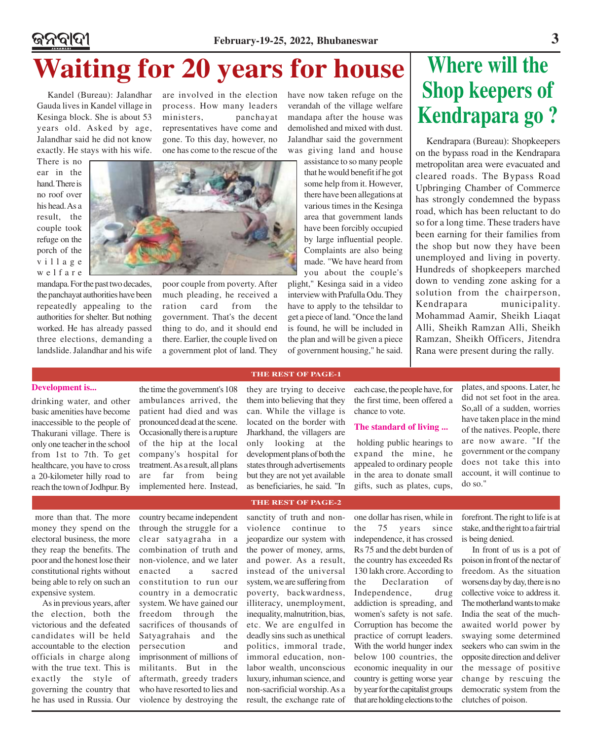### ଜନବାଦୀ **February-19-25, 2022, Bhubaneswar 3 Waiting for 20 years for house** Where will the

Kandel (Bureau): Jalandhar Gauda lives in Kandel village in Kesinga block. She is about 53 years old. Asked by age, Jalandhar said he did not know exactly. He stays with his wife.

There is no ear in the hand. There is no roof over his head. As a result, the couple took refuge on the porch of the village welfare

mandapa. For the past two decades, the panchayat authorities have been repeatedly appealing to the authorities for shelter. But nothing worked. He has already passed three elections, demanding a landslide. Jalandhar and his wife are involved in the election process. How many leaders ministers, panchayat representatives have come and gone. To this day, however, no one has come to the rescue of the

poor couple from poverty. After much pleading, he received a ration card from the government. That's the decent thing to do, and it should end there. Earlier, the couple lived on a government plot of land. They have now taken refuge on the verandah of the village welfare mandapa after the house was demolished and mixed with dust. Jalandhar said the government was giving land and house

> assistance to so many people that he would benefit if he got some help from it. However, there have been allegations at various times in the Kesinga area that government lands have been forcibly occupied by large influential people. Complaints are also being made. "We have heard from you about the couple's

plight," Kesinga said in a video interview with Prafulla Odu. They have to apply to the tehsildar to get a piece of land. "Once the land is found, he will be included in the plan and will be given a piece of government housing," he said.

# **Shop keepers of Kendrapara go ?**

Kendrapara (Bureau): Shopkeepers on the bypass road in the Kendrapara metropolitan area were evacuated and cleared roads. The Bypass Road Upbringing Chamber of Commerce has strongly condemned the bypass road, which has been reluctant to do so for a long time. These traders have been earning for their families from the shop but now they have been unemployed and living in poverty. Hundreds of shopkeepers marched down to vending zone asking for a solution from the chairperson, Kendrapara municipality. Mohammad Aamir, Sheikh Liaqat Alli, Sheikh Ramzan Alli, Sheikh Ramzan, Sheikh Officers, Jitendra Rana were present during the rally.

### **Development is...**

drinking water, and other basic amenities have become inaccessible to the people of Thakurani village. There is only one teacher in the school from 1st to 7th. To get healthcare, you have to cross a 20-kilometer hilly road to reach the town of Jodhpur. By

the time the government's 108 ambulances arrived, the patient had died and was pronounced dead at the scene. Occasionally there is a rupture of the hip at the local company's hospital for treatment. As a result, all plans are far from being implemented here. Instead,

they are trying to deceive them into believing that they can. While the village is located on the border with Jharkhand, the villagers are only looking at the development plans of both the states through advertisements but they are not yet available as beneficiaries, he said. "In

### **THE REST OF PAGE-2**

sanctity of truth and nonviolence continue to jeopardize our system with the power of money, arms, and power. As a result, instead of the universal system, we are suffering from poverty, backwardness, illiteracy, unemployment, inequality, malnutrition, bias, etc. We are engulfed in deadly sins such as unethical politics, immoral trade, immoral education, nonlabor wealth, unconscious luxury, inhuman science, and non-sacrificial worship. As a result, the exchange rate of

one dollar has risen, while in the 75 years since independence, it has crossed Rs 75 and the debt burden of the country has exceeded Rs 130 lakh crore. According to the Declaration of Independence, drug addiction is spreading, and women's safety is not safe. Corruption has become the practice of corrupt leaders. With the world hunger index below 100 countries, the economic inequality in our country is getting worse year by year for the capitalist groups that are holding elections to the

**The standard of living ...**

chance to vote.

each case, the people have, for the first time, been offered a

holding public hearings to expand the mine, he appealed to ordinary people in the area to donate small gifts, such as plates, cups,

> forefront. The right to life is at stake, and the right to a fair trial is being denied.

do so."

plates, and spoons. Later, he did not set foot in the area. So,all of a sudden, worries have taken place in the mind of the natives. People, there are now aware. "If the government or the company does not take this into account, it will continue to

In front of us is a pot of poison in front of the nectar of freedom. As the situation worsens day by day, there is no collective voice to address it. The motherland wants to make India the seat of the muchawaited world power by swaying some determined seekers who can swim in the opposite direction and deliver the message of positive change by rescuing the democratic system from the clutches of poison.

 more than that. The more money they spend on the electoral business, the more they reap the benefits. The poor and the honest lose their constitutional rights without being able to rely on such an expensive system.

As in previous years, after the election, both the victorious and the defeated candidates will be held accountable to the election officials in charge along with the true text. This is exactly the style of governing the country that he has used in Russia. Our

country became independent through the struggle for a clear satyagraha in a combination of truth and non-violence, and we later enacted a sacred constitution to run our country in a democratic system. We have gained our freedom through the sacrifices of thousands of Satyagrahais and the persecution and imprisonment of millions of militants. But in the aftermath, greedy traders who have resorted to lies and violence by destroying the

### **THE REST OF PAGE-1**

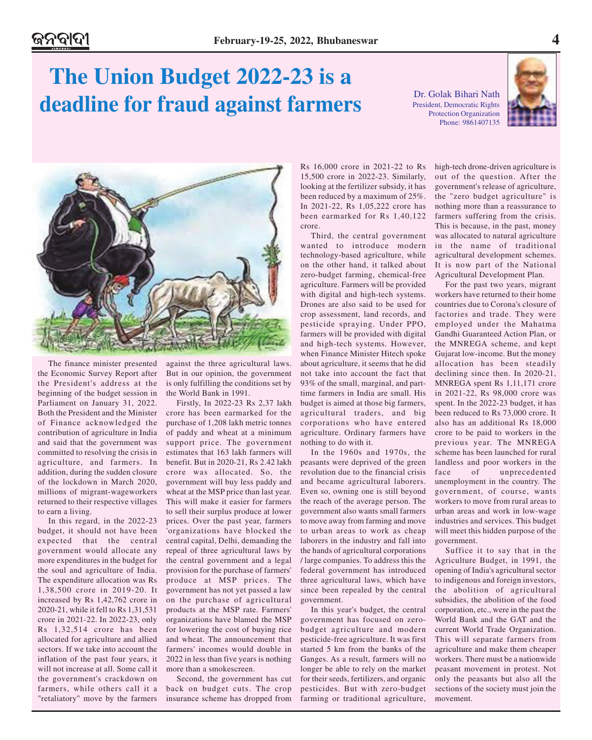## **The Union Budget 2022-23 is a deadline for fraud against farmers**

Dr. Golak Bihari Nath President, Democratic Rights Protection Organization Phone: 9861407135





The finance minister presented the Economic Survey Report after the President's address at the beginning of the budget session in Parliament on January 31, 2022. Both the President and the Minister of Finance acknowledged the contribution of agriculture in India and said that the government was committed to resolving the crisis in agriculture, and farmers. In addition, during the sudden closure of the lockdown in March 2020, millions of migrant-wageworkers returned to their respective villages to earn a living.

In this regard, in the 2022-23 budget, it should not have been expected that the central government would allocate any more expenditures in the budget for the soul and agriculture of India. The expenditure allocation was Rs 1,38,500 crore in 2019-20. It increased by Rs 1,42,762 crore in 2020-21, while it fell to Rs 1,31,531 crore in 2021-22. In 2022-23, only Rs 1,32,514 crore has been allocated for agriculture and allied sectors. If we take into account the inflation of the past four years, it will not increase at all. Some call it the government's crackdown on farmers, while others call it a "retaliatory" move by the farmers

against the three agricultural laws. But in our opinion, the government is only fulfilling the conditions set by the World Bank in 1991.

Firstly, In 2022-23 Rs 2,37 lakh crore has been earmarked for the purchase of 1,208 lakh metric tonnes of paddy and wheat at a minimum support price. The government estimates that 163 lakh farmers will benefit. But in 2020-21, Rs 2.42 lakh crore was allocated. So, the government will buy less paddy and wheat at the MSP price than last year. This will make it easier for farmers to sell their surplus produce at lower prices. Over the past year, farmers 'organizations have blocked the central capital, Delhi, demanding the repeal of three agricultural laws by the central government and a legal provision for the purchase of farmers' produce at MSP prices. The government has not yet passed a law on the purchase of agricultural products at the MSP rate. Farmers' organizations have blamed the MSP for lowering the cost of buying rice and wheat. The announcement that farmers' incomes would double in 2022 in less than five years is nothing more than a smokescreen.

Second, the government has cut back on budget cuts. The crop insurance scheme has dropped from Rs 16,000 crore in 2021-22 to Rs 15,500 crore in 2022-23. Similarly, looking at the fertilizer subsidy, it has been reduced by a maximum of 25%. In 2021-22, Rs 1,05,222 crore has been earmarked for Rs 1,40,122 crore.

Third, the central government wanted to introduce modern technology-based agriculture, while on the other hand, it talked about zero-budget farming, chemical-free agriculture. Farmers will be provided with digital and high-tech systems. Drones are also said to be used for crop assessment, land records, and pesticide spraying. Under PPO, farmers will be provided with digital and high-tech systems. However, when Finance Minister Hitech spoke about agriculture, it seems that he did not take into account the fact that 93% of the small, marginal, and parttime farmers in India are small. His budget is aimed at those big farmers, agricultural traders, and big corporations who have entered agriculture. Ordinary farmers have nothing to do with it.

In the 1960s and 1970s, the peasants were deprived of the green revolution due to the financial crisis and became agricultural laborers. Even so, owning one is still beyond the reach of the average person. The government also wants small farmers to move away from farming and move to urban areas to work as cheap laborers in the industry and fall into the hands of agricultural corporations / large companies. To address this the federal government has introduced three agricultural laws, which have since been repealed by the central government.

In this year's budget, the central government has focused on zerobudget agriculture and modern pesticide-free agriculture. It was first started 5 km from the banks of the Ganges. As a result, farmers will no longer be able to rely on the market for their seeds, fertilizers, and organic pesticides. But with zero-budget farming or traditional agriculture, high-tech drone-driven agriculture is out of the question. After the government's release of agriculture, the "zero budget agriculture" is nothing more than a reassurance to farmers suffering from the crisis. This is because, in the past, money was allocated to natural agriculture in the name of traditional agricultural development schemes. It is now part of the National Agricultural Development Plan.

For the past two years, migrant workers have returned to their home countries due to Corona's closure of factories and trade. They were employed under the Mahatma Gandhi Guaranteed Action Plan, or the MNREGA scheme, and kept Gujarat low-income. But the money allocation has been steadily declining since then. In 2020-21, MNREGA spent Rs 1,11,171 crore in 2021-22, Rs 98,000 crore was spent. In the 2022-23 budget, it has been reduced to Rs 73,000 crore. It also has an additional Rs 18,000 crore to be paid to workers in the previous year. The MNREGA scheme has been launched for rural landless and poor workers in the face of unprecedented unemployment in the country. The government, of course, wants workers to move from rural areas to urban areas and work in low-wage industries and services. This budget will meet this hidden purpose of the government.

Suffice it to say that in the Agriculture Budget, in 1991, the opening of India's agricultural sector to indigenous and foreign investors, the abolition of agricultural subsidies, the abolition of the food corporation, etc., were in the past the World Bank and the GAT and the current World Trade Organization. This will separate farmers from agriculture and make them cheaper workers. There must be a nationwide peasant movement in protest. Not only the peasants but also all the sections of the society must join the movement.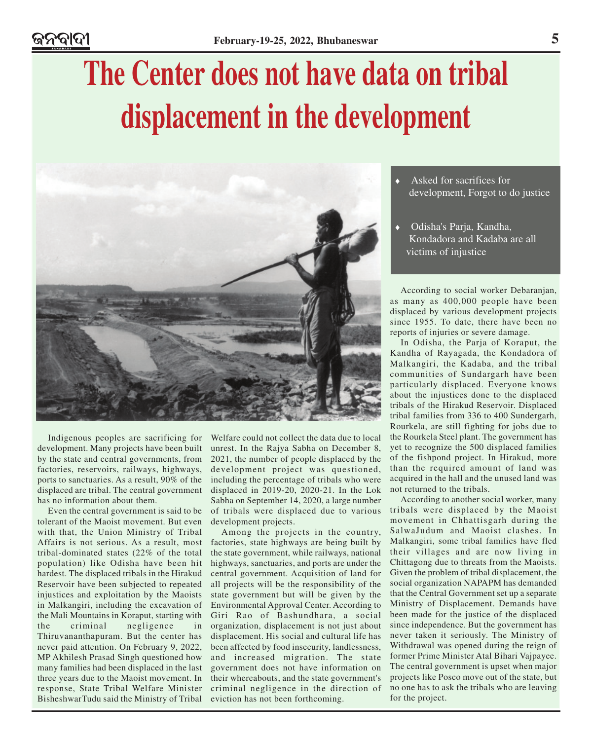# **The Center does not have data on tribal displacement in the development**



Indigenous peoples are sacrificing for development. Many projects have been built by the state and central governments, from factories, reservoirs, railways, highways, ports to sanctuaries. As a result, 90% of the displaced are tribal. The central government has no information about them.

Even the central government is said to be tolerant of the Maoist movement. But even with that, the Union Ministry of Tribal Affairs is not serious. As a result, most tribal-dominated states (22% of the total population) like Odisha have been hit hardest. The displaced tribals in the Hirakud Reservoir have been subjected to repeated injustices and exploitation by the Maoists in Malkangiri, including the excavation of the Mali Mountains in Koraput, starting with the criminal negligence in Thiruvananthapuram. But the center has never paid attention. On February 9, 2022, MP Akhilesh Prasad Singh questioned how many families had been displaced in the last three years due to the Maoist movement. In response, State Tribal Welfare Minister BisheshwarTudu said the Ministry of Tribal

Welfare could not collect the data due to local unrest. In the Rajya Sabha on December 8, 2021, the number of people displaced by the development project was questioned, including the percentage of tribals who were displaced in 2019-20, 2020-21. In the Lok Sabha on September 14, 2020, a large number of tribals were displaced due to various development projects.

Among the projects in the country, factories, state highways are being built by the state government, while railways, national highways, sanctuaries, and ports are under the central government. Acquisition of land for all projects will be the responsibility of the state government but will be given by the Environmental Approval Center. According to Giri Rao of Bashundhara, a social organization, displacement is not just about displacement. His social and cultural life has been affected by food insecurity, landlessness, and increased migration. The state government does not have information on their whereabouts, and the state government's criminal negligence in the direction of eviction has not been forthcoming.

- Asked for sacrifices for development, Forgot to do justice
- Odisha's Parja, Kandha, Kondadora and Kadaba are all victims of injustice

According to social worker Debaranjan, as many as 400,000 people have been displaced by various development projects since 1955. To date, there have been no reports of injuries or severe damage.

In Odisha, the Parja of Koraput, the Kandha of Rayagada, the Kondadora of Malkangiri, the Kadaba, and the tribal communities of Sundargarh have been particularly displaced. Everyone knows about the injustices done to the displaced tribals of the Hirakud Reservoir. Displaced tribal families from 336 to 400 Sundergarh, Rourkela, are still fighting for jobs due to the Rourkela Steel plant. The government has yet to recognize the 500 displaced families of the fishpond project. In Hirakud, more than the required amount of land was acquired in the hall and the unused land was not returned to the tribals.

According to another social worker, many tribals were displaced by the Maoist movement in Chhattisgarh during the SalwaJudum and Maoist clashes. In Malkangiri, some tribal families have fled their villages and are now living in Chittagong due to threats from the Maoists. Given the problem of tribal displacement, the social organization NAPAPM has demanded that the Central Government set up a separate Ministry of Displacement. Demands have been made for the justice of the displaced since independence. But the government has never taken it seriously. The Ministry of Withdrawal was opened during the reign of former Prime Minister Atal Bihari Vajpayee. The central government is upset when major projects like Posco move out of the state, but no one has to ask the tribals who are leaving for the project.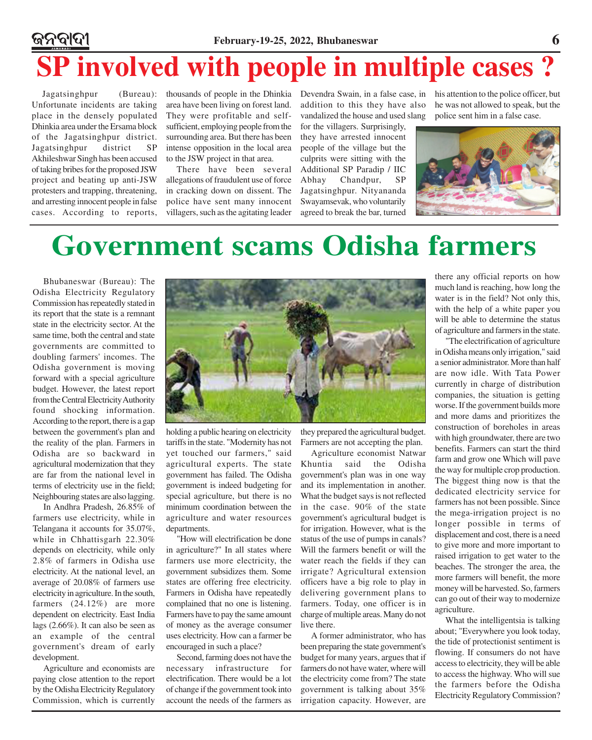### ନ୍ତନବାଦୀ **February-19-25, 2022, Bhubaneswar 6 SP involved with people in multiple cases ?**

Jagatsinghpur (Bureau): Unfortunate incidents are taking place in the densely populated Dhinkia area under the Ersama block of the Jagatsinghpur district. Jagatsinghpur district SP Akhileshwar Singh has been accused of taking bribes for the proposed JSW project and beating up anti-JSW protesters and trapping, threatening, and arresting innocent people in false cases. According to reports,

area have been living on forest land. They were profitable and selfsufficient, employing people from the surrounding area. But there has been intense opposition in the local area to the JSW project in that area.

There have been several allegations of fraudulent use of force in cracking down on dissent. The police have sent many innocent villagers, such as the agitating leader

addition to this they have also vandalized the house and used slang for the villagers. Surprisingly,

they have arrested innocent people of the village but the culprits were sitting with the Additional SP Paradip / IIC Abhay Chandpur, SP Jagatsinghpur. Nityananda Swayamsevak, who voluntarily agreed to break the bar, turned

thousands of people in the Dhinkia Devendra Swain, in a false case, in his attention to the police officer, but he was not allowed to speak, but the police sent him in a false case.



## **Government scams Odisha farmers**

Bhubaneswar (Bureau): The Odisha Electricity Regulatory Commission has repeatedly stated in its report that the state is a remnant state in the electricity sector. At the same time, both the central and state governments are committed to doubling farmers' incomes. The Odisha government is moving forward with a special agriculture budget. However, the latest report from the Central Electricity Authority found shocking information. According to the report, there is a gap between the government's plan and the reality of the plan. Farmers in Odisha are so backward in agricultural modernization that they are far from the national level in terms of electricity use in the field; Neighbouring states are also lagging.

In Andhra Pradesh, 26.85% of farmers use electricity, while in Telangana it accounts for 35.07%, while in Chhattisgarh 22.30% depends on electricity, while only 2.8% of farmers in Odisha use electricity. At the national level, an average of 20.08% of farmers use electricity in agriculture. In the south, farmers (24.12%) are more dependent on electricity. East India lags (2.66%). It can also be seen as an example of the central government's dream of early development.

Agriculture and economists are paying close attention to the report by the Odisha Electricity Regulatory Commission, which is currently



holding a public hearing on electricity tariffs in the state. "Modernity has not yet touched our farmers," said agricultural experts. The state government has failed. The Odisha government is indeed budgeting for special agriculture, but there is no minimum coordination between the agriculture and water resources departments.

"How will electrification be done in agriculture?" In all states where farmers use more electricity, the government subsidizes them. Some states are offering free electricity. Farmers in Odisha have repeatedly complained that no one is listening. Farmers have to pay the same amount of money as the average consumer uses electricity. How can a farmer be encouraged in such a place?

Second, farming does not have the necessary infrastructure for electrification. There would be a lot of change if the government took into account the needs of the farmers as they prepared the agricultural budget. Farmers are not accepting the plan.

Agriculture economist Natwar Khuntia said the Odisha government's plan was in one way and its implementation in another. What the budget says is not reflected in the case. 90% of the state government's agricultural budget is for irrigation. However, what is the status of the use of pumps in canals? Will the farmers benefit or will the water reach the fields if they can irrigate? Agricultural extension officers have a big role to play in delivering government plans to farmers. Today, one officer is in charge of multiple areas. Many do not live there.

A former administrator, who has been preparing the state government's budget for many years, argues that if farmers do not have water, where will the electricity come from? The state government is talking about 35% irrigation capacity. However, are there any official reports on how much land is reaching, how long the water is in the field? Not only this, with the help of a white paper you will be able to determine the status of agriculture and farmers in the state.

"The electrification of agriculture in Odisha means only irrigation," said a senior administrator. More than half are now idle. With Tata Power currently in charge of distribution companies, the situation is getting worse. If the government builds more and more dams and prioritizes the construction of boreholes in areas with high groundwater, there are two benefits. Farmers can start the third farm and grow one Which will pave the way for multiple crop production. The biggest thing now is that the dedicated electricity service for farmers has not been possible. Since the mega-irrigation project is no longer possible in terms of displacement and cost, there is a need to give more and more important to raised irrigation to get water to the beaches. The stronger the area, the more farmers will benefit, the more money will be harvested. So, farmers can go out of their way to modernize agriculture.

What the intelligentsia is talking about; "Everywhere you look today, the tide of protectionist sentiment is flowing. If consumers do not have access to electricity, they will be able to access the highway. Who will sue the farmers before the Odisha Electricity Regulatory Commission?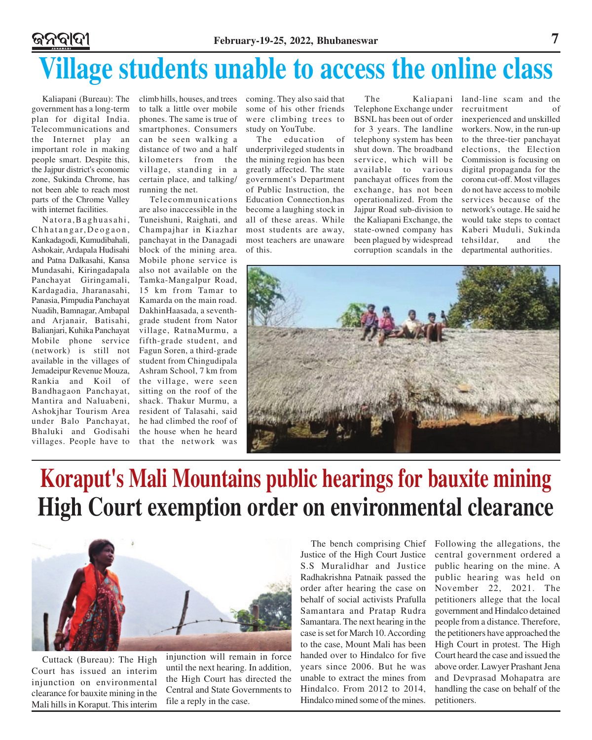# **Village students unable to access the online class**

Kaliapani (Bureau): The government has a long-term plan for digital India. Telecommunications and the Internet play an important role in making people smart. Despite this, the Jajpur district's economic zone, Sukinda Chrome, has not been able to reach most parts of the Chrome Valley with internet facilities.

Natora,Baghuasahi, Chhatangar,Deogaon, Kankadagodi, Kumudibahali, Ashokair, Ardapala Hudisahi and Patna Dalkasahi, Kansa Mundasahi, Kiringadapala Panchayat Giringamali, Kardagadia, Jharanasahi, Panasia, Pimpudia Panchayat Nuadih, Bamnagar, Ambapal and Arjanair, Batisahi, Balianjari, Kuhika Panchayat Mobile phone service (network) is still not available in the villages of Jemadeipur Revenue Mouza, Rankia and Koil of Bandhagaon Panchayat, Mantira and Naluabeni, Ashokjhar Tourism Area under Balo Panchayat, Bhaluki and Godisahi villages. People have to

climb hills, houses, and trees to talk a little over mobile phones. The same is true of smartphones. Consumers can be seen walking a distance of two and a half kilometers from the village, standing in a certain place, and talking/ running the net.

Telecommunications are also inaccessible in the Tuneishuni, Raighati, and Champajhar in Kiazhar panchayat in the Danagadi block of the mining area. Mobile phone service is also not available on the Tamka-Mangalpur Road, 15 km from Tamar to Kamarda on the main road. DakhinHaasada, a seventhgrade student from Nator village, RatnaMurmu, a fifth-grade student, and Fagun Soren, a third-grade student from Chingudipala Ashram School, 7 km from the village, were seen sitting on the roof of the shack. Thakur Murmu, a resident of Talasahi, said he had climbed the roof of the house when he heard that the network was

coming. They also said that some of his other friends were climbing trees to study on YouTube.

The education of underprivileged students in the mining region has been greatly affected. The state government's Department of Public Instruction, the Education Connection,has become a laughing stock in all of these areas. While most students are away, most teachers are unaware of this.

The Kaliapani Telephone Exchange under BSNL has been out of order for 3 years. The landline telephony system has been shut down. The broadband service, which will be available to various panchayat offices from the exchange, has not been operationalized. From the Jajpur Road sub-division to the Kaliapani Exchange, the state-owned company has been plagued by widespread corruption scandals in the

land-line scam and the recruitment of inexperienced and unskilled workers. Now, in the run-up to the three-tier panchayat elections, the Election Commission is focusing on digital propaganda for the corona cut-off. Most villages do not have access to mobile services because of the network's outage. He said he would take steps to contact Kaberi Muduli, Sukinda tehsildar, and the departmental authorities.



## **Koraput's Mali Mountains public hearings for bauxite mining High Court exemption order on environmental clearance**



Cuttack (Bureau): The High Court has issued an interim injunction on environmental clearance for bauxite mining in the Mali hills in Koraput. This interim injunction will remain in force until the next hearing. In addition, the High Court has directed the Central and State Governments to file a reply in the case.

The bench comprising Chief Justice of the High Court Justice S.S Muralidhar and Justice Radhakrishna Patnaik passed the order after hearing the case on behalf of social activists Prafulla Samantara and Pratap Rudra Samantara. The next hearing in the case is set for March 10. According to the case, Mount Mali has been handed over to Hindalco for five years since 2006. But he was unable to extract the mines from Hindalco. From 2012 to 2014, Hindalco mined some of the mines.

Following the allegations, the central government ordered a public hearing on the mine. A public hearing was held on November 22, 2021. The petitioners allege that the local government and Hindalco detained people from a distance. Therefore, the petitioners have approached the High Court in protest. The High Court heard the case and issued the above order. Lawyer Prashant Jena and Devprasad Mohapatra are handling the case on behalf of the petitioners.